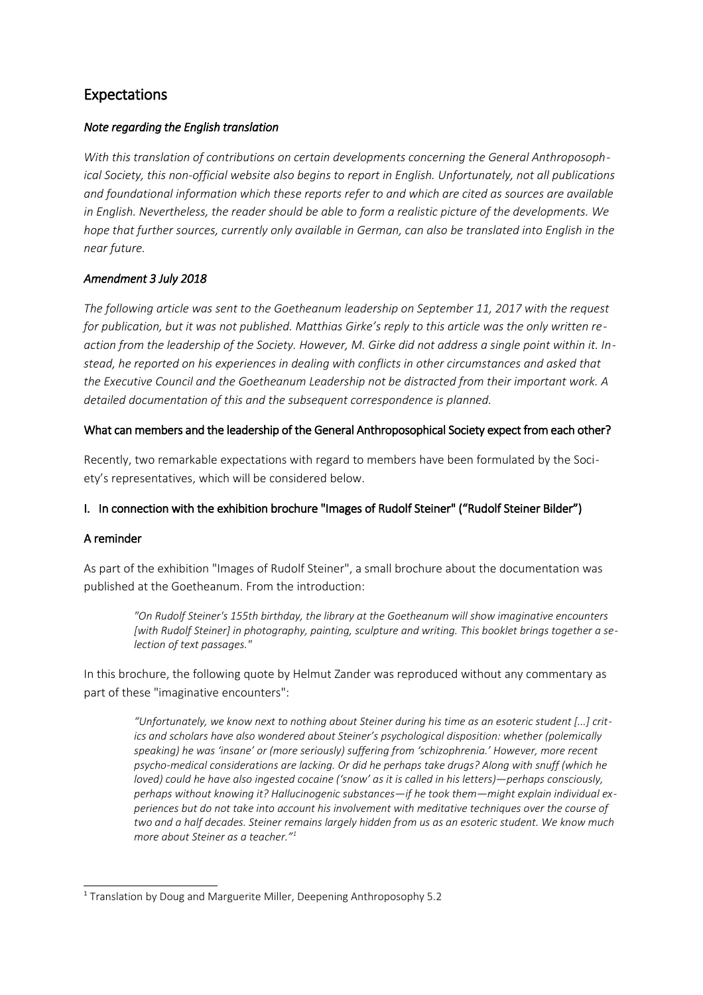# Expectations

## *Note regarding the English translation*

*With this translation of contributions on certain developments concerning the General Anthroposophical Society, this non-official website also begins to report in English. Unfortunately, not all publications and foundational information which these reports refer to and which are cited as sources are available in English. Nevertheless, the reader should be able to form a realistic picture of the developments. We hope that further sources, currently only available in German, can also be translated into English in the near future.*

## *Amendment 3 July 2018*

*The following article was sent to the Goetheanum leadership on September 11, 2017 with the request for publication, but it was not published. Matthias Girke's reply to this article was the only written reaction from the leadership of the Society. However, M. Girke did not address a single point within it. Instead, he reported on his experiences in dealing with conflicts in other circumstances and asked that the Executive Council and the Goetheanum Leadership not be distracted from their important work. A detailed documentation of this and the subsequent correspondence is planned.*

## What can members and the leadership of the General Anthroposophical Society expect from each other?

Recently, two remarkable expectations with regard to members have been formulated by the Society's representatives, which will be considered below.

# I. In connection with the exhibition brochure "Images of Rudolf Steiner" ("Rudolf Steiner Bilder")

## A reminder

As part of the exhibition "Images of Rudolf Steiner", a small brochure about the documentation was published at the Goetheanum. From the introduction:

*"On Rudolf Steiner's 155th birthday, the library at the Goetheanum will show imaginative encounters [with Rudolf Steiner] in photography, painting, sculpture and writing. This booklet brings together a selection of text passages."*

In this brochure, the following quote by Helmut Zander was reproduced without any commentary as part of these "imaginative encounters":

*"Unfortunately, we know next to nothing about Steiner during his time as an esoteric student [...] critics and scholars have also wondered about Steiner's psychological disposition: whether (polemically speaking) he was 'insane' or (more seriously) suffering from 'schizophrenia.' However, more recent psycho-medical considerations are lacking. Or did he perhaps take drugs? Along with snuff (which he loved) could he have also ingested cocaine ('snow' as it is called in his letters)—perhaps consciously, perhaps without knowing it? Hallucinogenic substances—if he took them—might explain individual experiences but do not take into account his involvement with meditative techniques over the course of two and a half decades. Steiner remains largely hidden from us as an esoteric student. We know much more about Steiner as a teacher."[1](#page-0-0)*

<span id="page-0-0"></span><sup>&</sup>lt;sup>1</sup> Translation by Doug and Marguerite Miller, Deepening Anthroposophy 5.2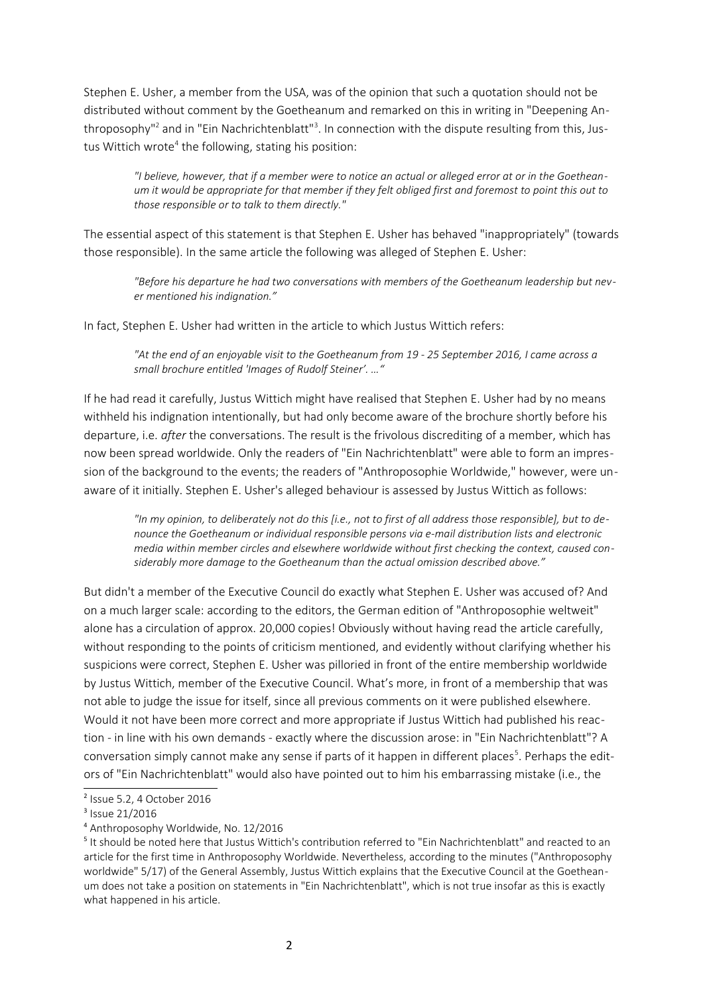Stephen E. Usher, a member from the USA, was of the opinion that such a quotation should not be distributed without comment by the Goetheanum and remarked on this in writing in "Deepening An-throposophy"<sup>[2](#page-1-0)</sup> and in "Ein Nachrichtenblatt"<sup>[3](#page-1-1)</sup>. In connection with the dispute resulting from this, Jus-tus Wittich wrote<sup>[4](#page-1-2)</sup> the following, stating his position:

*"I believe, however, that if a member were to notice an actual or alleged error at or in the Goetheanum it would be appropriate for that member if they felt obliged first and foremost to point this out to those responsible or to talk to them directly."*

The essential aspect of this statement is that Stephen E. Usher has behaved "inappropriately" (towards those responsible). In the same article the following was alleged of Stephen E. Usher:

*"Before his departure he had two conversations with members of the Goetheanum leadership but never mentioned his indignation."*

In fact, Stephen E. Usher had written in the article to which Justus Wittich refers:

*"At the end of an enjoyable visit to the Goetheanum from 19 - 25 September 2016, I came across a small brochure entitled 'Images of Rudolf Steiner'. …"*

If he had read it carefully, Justus Wittich might have realised that Stephen E. Usher had by no means withheld his indignation intentionally, but had only become aware of the brochure shortly before his departure, i.e. *after* the conversations. The result is the frivolous discrediting of a member, which has now been spread worldwide. Only the readers of "Ein Nachrichtenblatt" were able to form an impression of the background to the events; the readers of "Anthroposophie Worldwide," however, were unaware of it initially. Stephen E. Usher's alleged behaviour is assessed by Justus Wittich as follows:

*"In my opinion, to deliberately not do this [i.e., not to first of all address those responsible], but to denounce the Goetheanum or individual responsible persons via e-mail distribution lists and electronic media within member circles and elsewhere worldwide without first checking the context, caused considerably more damage to the Goetheanum than the actual omission described above."*

But didn't a member of the Executive Council do exactly what Stephen E. Usher was accused of? And on a much larger scale: according to the editors, the German edition of "Anthroposophie weltweit" alone has a circulation of approx. 20,000 copies! Obviously without having read the article carefully, without responding to the points of criticism mentioned, and evidently without clarifying whether his suspicions were correct, Stephen E. Usher was pilloried in front of the entire membership worldwide by Justus Wittich, member of the Executive Council. What's more, in front of a membership that was not able to judge the issue for itself, since all previous comments on it were published elsewhere. Would it not have been more correct and more appropriate if Justus Wittich had published his reaction - in line with his own demands - exactly where the discussion arose: in "Ein Nachrichtenblatt"? A conversation simply cannot make any sense if parts of it happen in different places<sup>[5](#page-1-3)</sup>. Perhaps the editors of "Ein Nachrichtenblatt" would also have pointed out to him his embarrassing mistake (i.e., the

<span id="page-1-0"></span><sup>2</sup> Issue 5.2, 4 October 2016

<span id="page-1-1"></span><sup>&</sup>lt;sup>3</sup> Issue 21/2016

<span id="page-1-2"></span><sup>4</sup> Anthroposophy Worldwide, No. 12/2016

<span id="page-1-3"></span><sup>&</sup>lt;sup>5</sup> It should be noted here that Justus Wittich's contribution referred to "Ein Nachrichtenblatt" and reacted to an article for the first time in Anthroposophy Worldwide. Nevertheless, according to the minutes ("Anthroposophy worldwide" 5/17) of the General Assembly, Justus Wittich explains that the Executive Council at the Goetheanum does not take a position on statements in "Ein Nachrichtenblatt", which is not true insofar as this is exactly what happened in his article.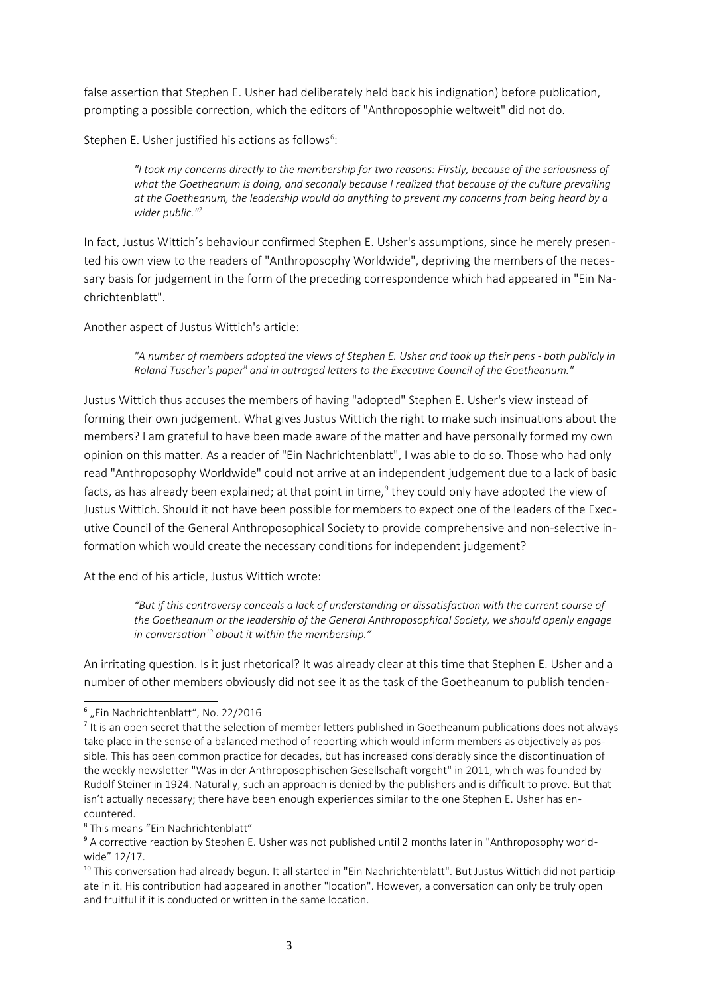false assertion that Stephen E. Usher had deliberately held back his indignation) before publication, prompting a possible correction, which the editors of "Anthroposophie weltweit" did not do.

Stephen E. Usher justified his actions as follows<sup>[6](#page-2-0)</sup>:

*"I took my concerns directly to the membership for two reasons: Firstly, because of the seriousness of what the Goetheanum is doing, and secondly because I realized that because of the culture prevailing at the Goetheanum, the leadership would do anything to prevent my concerns from being heard by a wider public."[7](#page-2-1)*

In fact, Justus Wittich's behaviour confirmed Stephen E. Usher's assumptions, since he merely presented his own view to the readers of "Anthroposophy Worldwide", depriving the members of the necessary basis for judgement in the form of the preceding correspondence which had appeared in "Ein Nachrichtenblatt".

Another aspect of Justus Wittich's article:

*"A number of members adopted the views of Stephen E. Usher and took up their pens - both publicly in* Roland Tüscher's paper<sup>[8](#page-2-2)</sup> and in outraged letters to the Executive Council of the Goetheanum."

Justus Wittich thus accuses the members of having "adopted" Stephen E. Usher's view instead of forming their own judgement. What gives Justus Wittich the right to make such insinuations about the members? I am grateful to have been made aware of the matter and have personally formed my own opinion on this matter. As a reader of "Ein Nachrichtenblatt", I was able to do so. Those who had only read "Anthroposophy Worldwide" could not arrive at an independent judgement due to a lack of basic facts, as has already been explained; at that point in time, $^9$  $^9$  they could only have adopted the view of Justus Wittich. Should it not have been possible for members to expect one of the leaders of the Executive Council of the General Anthroposophical Society to provide comprehensive and non-selective information which would create the necessary conditions for independent judgement?

At the end of his article, Justus Wittich wrote:

*"But if this controversy conceals a lack of understanding or dissatisfaction with the current course of the Goetheanum or the leadership of the General Anthroposophical Society, we should openly engage in conversation[10](#page-2-4) about it within the membership."*

An irritating question. Is it just rhetorical? It was already clear at this time that Stephen E. Usher and a number of other members obviously did not see it as the task of the Goetheanum to publish tenden-

<span id="page-2-0"></span><sup>&</sup>lt;sup>6</sup> "Ein Nachrichtenblatt", No. 22/2016

<span id="page-2-1"></span><sup>&</sup>lt;sup>7</sup> It is an open secret that the selection of member letters published in Goetheanum publications does not always take place in the sense of a balanced method of reporting which would inform members as objectively as possible. This has been common practice for decades, but has increased considerably since the discontinuation of the weekly newsletter "Was in der Anthroposophischen Gesellschaft vorgeht" in 2011, which was founded by Rudolf Steiner in 1924. Naturally, such an approach is denied by the publishers and is difficult to prove. But that isn't actually necessary; there have been enough experiences similar to the one Stephen E. Usher has encountered.

<span id="page-2-2"></span><sup>8</sup> This means "Ein Nachrichtenblatt"

<span id="page-2-3"></span><sup>&</sup>lt;sup>9</sup> A corrective reaction by Stephen E. Usher was not published until 2 months later in "Anthroposophy worldwide" 12/17.

<span id="page-2-4"></span><sup>&</sup>lt;sup>10</sup> This conversation had already begun. It all started in "Ein Nachrichtenblatt". But Justus Wittich did not participate in it. His contribution had appeared in another "location". However, a conversation can only be truly open and fruitful if it is conducted or written in the same location.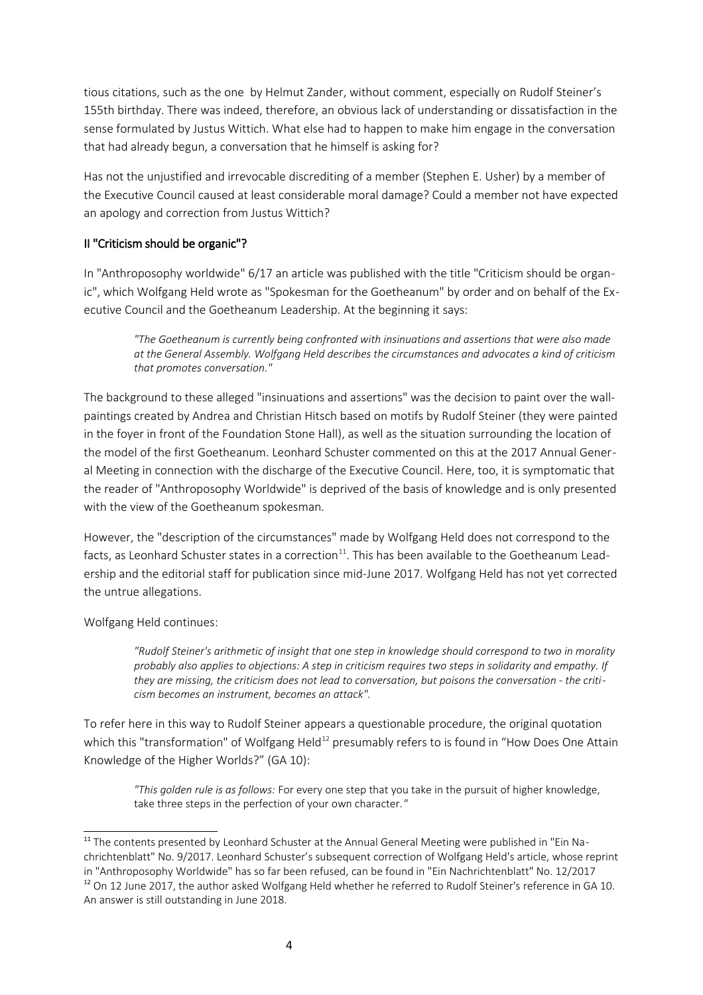tious citations, such as the one by Helmut Zander, without comment, especially on Rudolf Steiner's 155th birthday. There was indeed, therefore, an obvious lack of understanding or dissatisfaction in the sense formulated by Justus Wittich. What else had to happen to make him engage in the conversation that had already begun, a conversation that he himself is asking for?

Has not the unjustified and irrevocable discrediting of a member (Stephen E. Usher) by a member of the Executive Council caused at least considerable moral damage? Could a member not have expected an apology and correction from Justus Wittich?

## II "Criticism should be organic"?

In "Anthroposophy worldwide" 6/17 an article was published with the title "Criticism should be organic", which Wolfgang Held wrote as "Spokesman for the Goetheanum" by order and on behalf of the Executive Council and the Goetheanum Leadership. At the beginning it says:

*"The Goetheanum is currently being confronted with insinuations and assertions that were also made at the General Assembly. Wolfgang Held describes the circumstances and advocates a kind of criticism that promotes conversation."*

The background to these alleged "insinuations and assertions" was the decision to paint over the wallpaintings created by Andrea and Christian Hitsch based on motifs by Rudolf Steiner (they were painted in the foyer in front of the Foundation Stone Hall), as well as the situation surrounding the location of the model of the first Goetheanum. Leonhard Schuster commented on this at the 2017 Annual General Meeting in connection with the discharge of the Executive Council. Here, too, it is symptomatic that the reader of "Anthroposophy Worldwide" is deprived of the basis of knowledge and is only presented with the view of the Goetheanum spokesman.

However, the "description of the circumstances" made by Wolfgang Held does not correspond to the facts, as Leonhard Schuster states in a correction $11$ . This has been available to the Goetheanum Leadership and the editorial staff for publication since mid-June 2017. Wolfgang Held has not yet corrected the untrue allegations.

Wolfgang Held continues:

*"Rudolf Steiner's arithmetic of insight that one step in knowledge should correspond to two in morality probably also applies to objections: A step in criticism requires two steps in solidarity and empathy. If they are missing, the criticism does not lead to conversation, but poisons the conversation - the criticism becomes an instrument, becomes an attack".*

To refer here in this way to Rudolf Steiner appears a questionable procedure, the original quotation which this "transformation" of Wolfgang Held $^{12}$  $^{12}$  $^{12}$  presumably refers to is found in "How Does One Attain Knowledge of the Higher Worlds?" (GA 10):

*"This golden rule is as follows:* For every one step that you take in the pursuit of higher knowledge, take three steps in the perfection of your own character.*"*

<span id="page-3-1"></span><span id="page-3-0"></span><sup>&</sup>lt;sup>11</sup> The contents presented by Leonhard Schuster at the Annual General Meeting were published in "Ein Nachrichtenblatt" No. 9/2017. Leonhard Schuster's subsequent correction of Wolfgang Held's article, whose reprint in "Anthroposophy Worldwide" has so far been refused, can be found in "Ein Nachrichtenblatt" No. 12/2017  $12$  On 12 June 2017, the author asked Wolfgang Held whether he referred to Rudolf Steiner's reference in GA 10. An answer is still outstanding in June 2018.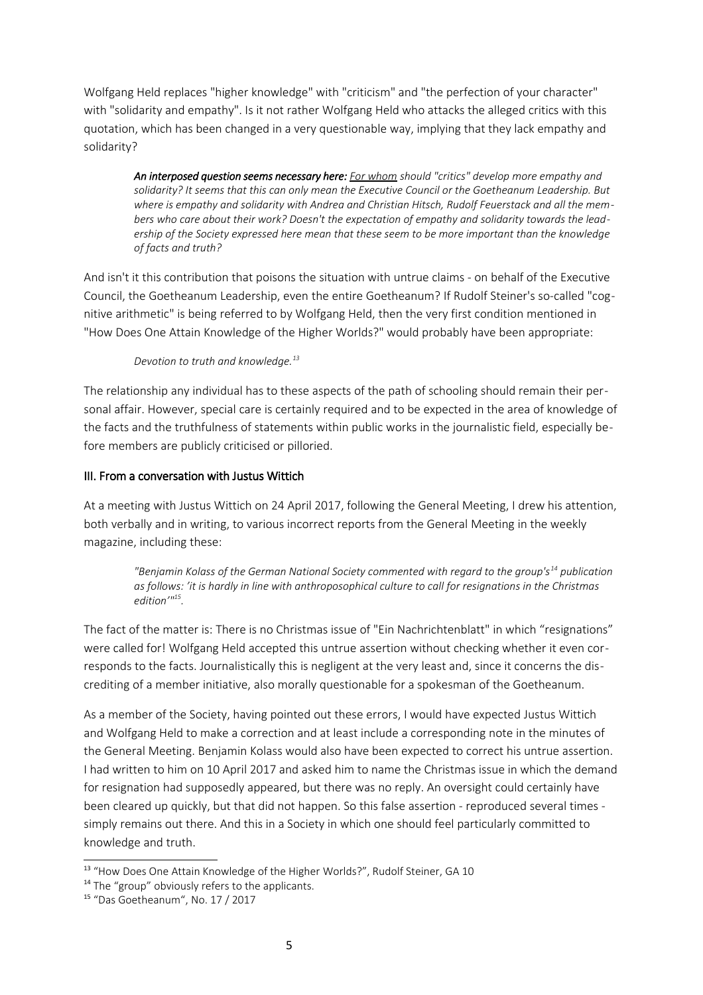Wolfgang Held replaces "higher knowledge" with "criticism" and "the perfection of your character" with "solidarity and empathy". Is it not rather Wolfgang Held who attacks the alleged critics with this quotation, which has been changed in a very questionable way, implying that they lack empathy and solidarity?

*An interposed question seems necessary here: For whom should "critics" develop more empathy and solidarity? It seems that this can only mean the Executive Council or the Goetheanum Leadership. But where is empathy and solidarity with Andrea and Christian Hitsch, Rudolf Feuerstack and all the members who care about their work? Doesn't the expectation of empathy and solidarity towards the leadership of the Society expressed here mean that these seem to be more important than the knowledge of facts and truth?*

And isn't it this contribution that poisons the situation with untrue claims - on behalf of the Executive Council, the Goetheanum Leadership, even the entire Goetheanum? If Rudolf Steiner's so-called "cognitive arithmetic" is being referred to by Wolfgang Held, then the very first condition mentioned in "How Does One Attain Knowledge of the Higher Worlds?" would probably have been appropriate:

*Devotion to truth and knowledge.[13](#page-4-0)*

The relationship any individual has to these aspects of the path of schooling should remain their personal affair. However, special care is certainly required and to be expected in the area of knowledge of the facts and the truthfulness of statements within public works in the journalistic field, especially before members are publicly criticised or pilloried.

## III. From a conversation with Justus Wittich

At a meeting with Justus Wittich on 24 April 2017, following the General Meeting, I drew his attention, both verbally and in writing, to various incorrect reports from the General Meeting in the weekly magazine, including these:

*"Benjamin Kolass of the German National Society commented with regard to the group's[14](#page-4-1) publication as follows: 'it is hardly in line with anthroposophical culture to call for resignations in the Christmas edition'"[15](#page-4-2) .* 

The fact of the matter is: There is no Christmas issue of "Ein Nachrichtenblatt" in which "resignations" were called for! Wolfgang Held accepted this untrue assertion without checking whether it even corresponds to the facts. Journalistically this is negligent at the very least and, since it concerns the discrediting of a member initiative, also morally questionable for a spokesman of the Goetheanum.

As a member of the Society, having pointed out these errors, I would have expected Justus Wittich and Wolfgang Held to make a correction and at least include a corresponding note in the minutes of the General Meeting. Benjamin Kolass would also have been expected to correct his untrue assertion. I had written to him on 10 April 2017 and asked him to name the Christmas issue in which the demand for resignation had supposedly appeared, but there was no reply. An oversight could certainly have been cleared up quickly, but that did not happen. So this false assertion - reproduced several times simply remains out there. And this in a Society in which one should feel particularly committed to knowledge and truth.

<span id="page-4-0"></span><sup>&</sup>lt;sup>13</sup> "How Does One Attain Knowledge of the Higher Worlds?", Rudolf Steiner, GA 10

<span id="page-4-1"></span><sup>&</sup>lt;sup>14</sup> The "group" obviously refers to the applicants.

<span id="page-4-2"></span><sup>15</sup> "Das Goetheanum", No. 17 / 2017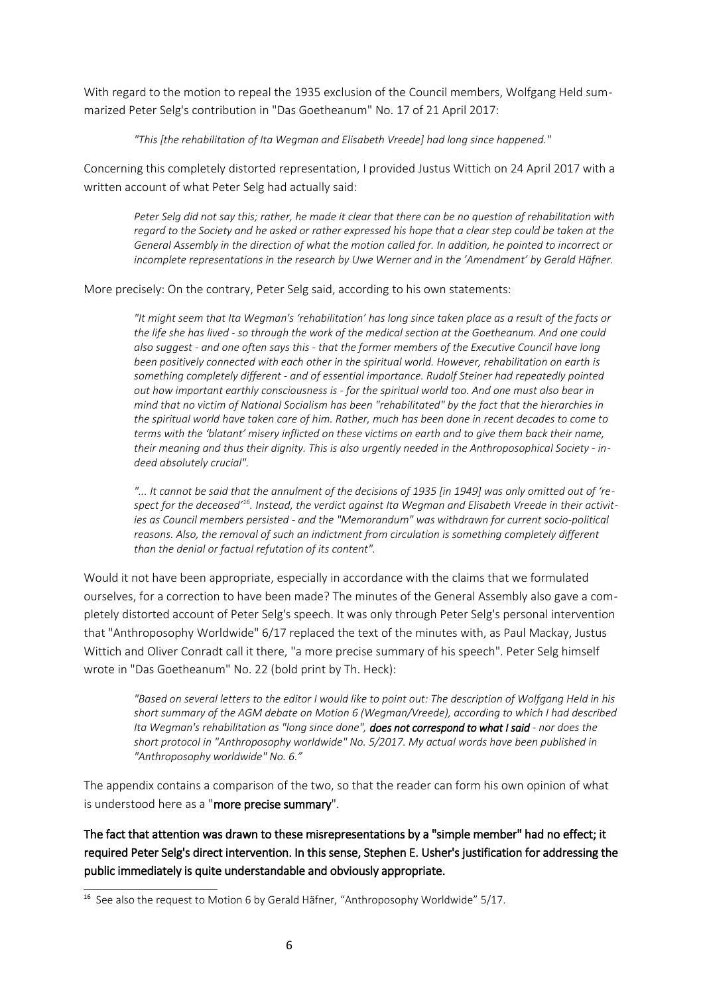With regard to the motion to repeal the 1935 exclusion of the Council members, Wolfgang Held summarized Peter Selg's contribution in "Das Goetheanum" No. 17 of 21 April 2017:

*"This [the rehabilitation of Ita Wegman and Elisabeth Vreede] had long since happened."*

Concerning this completely distorted representation, I provided Justus Wittich on 24 April 2017 with a written account of what Peter Selg had actually said:

*Peter Selg did not say this; rather, he made it clear that there can be no question of rehabilitation with regard to the Society and he asked or rather expressed his hope that a clear step could be taken at the General Assembly in the direction of what the motion called for. In addition, he pointed to incorrect or incomplete representations in the research by Uwe Werner and in the 'Amendment' by Gerald Häfner.*

More precisely: On the contrary, Peter Selg said, according to his own statements:

*"It might seem that Ita Wegman's 'rehabilitation' has long since taken place as a result of the facts or the life she has lived - so through the work of the medical section at the Goetheanum. And one could also suggest - and one often says this - that the former members of the Executive Council have long been positively connected with each other in the spiritual world. However, rehabilitation on earth is something completely different - and of essential importance. Rudolf Steiner had repeatedly pointed out how important earthly consciousness is - for the spiritual world too. And one must also bear in mind that no victim of National Socialism has been "rehabilitated" by the fact that the hierarchies in the spiritual world have taken care of him. Rather, much has been done in recent decades to come to terms with the 'blatant' misery inflicted on these victims on earth and to give them back their name, their meaning and thus their dignity. This is also urgently needed in the Anthroposophical Society - indeed absolutely crucial".* 

*"... It cannot be said that the annulment of the decisions of 1935 [in 1949] was only omitted out of 'respect for the deceased'[16](#page-5-0). Instead, the verdict against Ita Wegman and Elisabeth Vreede in their activities as Council members persisted - and the "Memorandum" was withdrawn for current socio-political reasons. Also, the removal of such an indictment from circulation is something completely different than the denial or factual refutation of its content".*

Would it not have been appropriate, especially in accordance with the claims that we formulated ourselves, for a correction to have been made? The minutes of the General Assembly also gave a completely distorted account of Peter Selg's speech. It was only through Peter Selg's personal intervention that "Anthroposophy Worldwide" 6/17 replaced the text of the minutes with, as Paul Mackay, Justus Wittich and Oliver Conradt call it there, "a more precise summary of his speech". Peter Selg himself wrote in "Das Goetheanum" No. 22 (bold print by Th. Heck):

*"Based on several letters to the editor I would like to point out: The description of Wolfgang Held in his short summary of the AGM debate on Motion 6 (Wegman/Vreede), according to which I had described Ita Wegman's rehabilitation as "long since done", does not correspond to what I said - nor does the short protocol in "Anthroposophy worldwide" No. 5/2017. My actual words have been published in "Anthroposophy worldwide" No. 6."*

The appendix contains a comparison of the two, so that the reader can form his own opinion of what is understood here as a "more precise summary".

The fact that attention was drawn to these misrepresentations by a "simple member" had no effect; it required Peter Selg's direct intervention. In this sense, Stephen E. Usher's justification for addressing the public immediately is quite understandable and obviously appropriate.

<span id="page-5-0"></span><sup>&</sup>lt;sup>16</sup> See also the request to Motion 6 by Gerald Häfner, "Anthroposophy Worldwide" 5/17.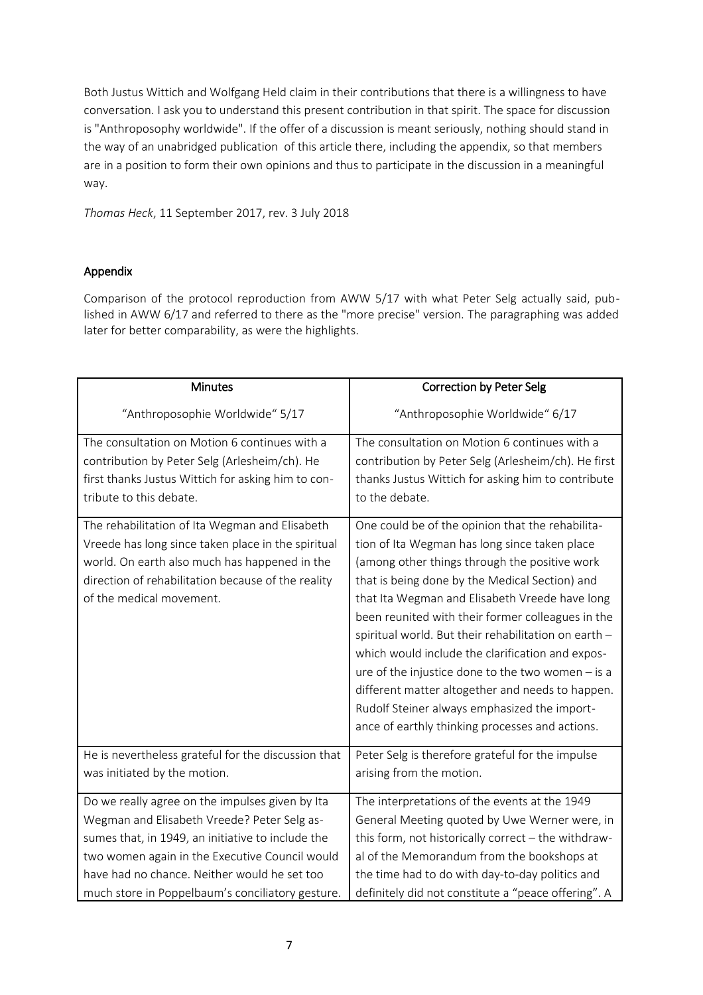Both Justus Wittich and Wolfgang Held claim in their contributions that there is a willingness to have conversation. I ask you to understand this present contribution in that spirit. The space for discussion is "Anthroposophy worldwide". If the offer of a discussion is meant seriously, nothing should stand in the way of an unabridged publication of this article there, including the appendix, so that members are in a position to form their own opinions and thus to participate in the discussion in a meaningful way.

*Thomas Heck*, 11 September 2017, rev. 3 July 2018

## Appendix

Comparison of the protocol reproduction from AWW 5/17 with what Peter Selg actually said, published in AWW 6/17 and referred to there as the "more precise" version. The paragraphing was added later for better comparability, as were the highlights.

| <b>Minutes</b>                                                                                                                                                                                                                          | <b>Correction by Peter Selg</b>                                                                                                                                                                                                                                                                                                                                                                                                                                                                                                                                                                                                       |
|-----------------------------------------------------------------------------------------------------------------------------------------------------------------------------------------------------------------------------------------|---------------------------------------------------------------------------------------------------------------------------------------------------------------------------------------------------------------------------------------------------------------------------------------------------------------------------------------------------------------------------------------------------------------------------------------------------------------------------------------------------------------------------------------------------------------------------------------------------------------------------------------|
| "Anthroposophie Worldwide" 5/17                                                                                                                                                                                                         | "Anthroposophie Worldwide" 6/17                                                                                                                                                                                                                                                                                                                                                                                                                                                                                                                                                                                                       |
| The consultation on Motion 6 continues with a                                                                                                                                                                                           | The consultation on Motion 6 continues with a                                                                                                                                                                                                                                                                                                                                                                                                                                                                                                                                                                                         |
| contribution by Peter Selg (Arlesheim/ch). He                                                                                                                                                                                           | contribution by Peter Selg (Arlesheim/ch). He first                                                                                                                                                                                                                                                                                                                                                                                                                                                                                                                                                                                   |
| first thanks Justus Wittich for asking him to con-                                                                                                                                                                                      | thanks Justus Wittich for asking him to contribute                                                                                                                                                                                                                                                                                                                                                                                                                                                                                                                                                                                    |
| tribute to this debate.                                                                                                                                                                                                                 | to the debate.                                                                                                                                                                                                                                                                                                                                                                                                                                                                                                                                                                                                                        |
| The rehabilitation of Ita Wegman and Elisabeth<br>Vreede has long since taken place in the spiritual<br>world. On earth also much has happened in the<br>direction of rehabilitation because of the reality<br>of the medical movement. | One could be of the opinion that the rehabilita-<br>tion of Ita Wegman has long since taken place<br>(among other things through the positive work<br>that is being done by the Medical Section) and<br>that Ita Wegman and Elisabeth Vreede have long<br>been reunited with their former colleagues in the<br>spiritual world. But their rehabilitation on earth -<br>which would include the clarification and expos-<br>ure of the injustice done to the two women $-$ is a<br>different matter altogether and needs to happen.<br>Rudolf Steiner always emphasized the import-<br>ance of earthly thinking processes and actions. |
| He is nevertheless grateful for the discussion that                                                                                                                                                                                     | Peter Selg is therefore grateful for the impulse                                                                                                                                                                                                                                                                                                                                                                                                                                                                                                                                                                                      |
| was initiated by the motion.                                                                                                                                                                                                            | arising from the motion.                                                                                                                                                                                                                                                                                                                                                                                                                                                                                                                                                                                                              |
| Do we really agree on the impulses given by Ita                                                                                                                                                                                         | The interpretations of the events at the 1949                                                                                                                                                                                                                                                                                                                                                                                                                                                                                                                                                                                         |
| Wegman and Elisabeth Vreede? Peter Selg as-                                                                                                                                                                                             | General Meeting quoted by Uwe Werner were, in                                                                                                                                                                                                                                                                                                                                                                                                                                                                                                                                                                                         |
| sumes that, in 1949, an initiative to include the                                                                                                                                                                                       | this form, not historically correct - the withdraw-                                                                                                                                                                                                                                                                                                                                                                                                                                                                                                                                                                                   |
| two women again in the Executive Council would                                                                                                                                                                                          | al of the Memorandum from the bookshops at                                                                                                                                                                                                                                                                                                                                                                                                                                                                                                                                                                                            |
| have had no chance. Neither would he set too                                                                                                                                                                                            | the time had to do with day-to-day politics and                                                                                                                                                                                                                                                                                                                                                                                                                                                                                                                                                                                       |
| much store in Poppelbaum's conciliatory gesture.                                                                                                                                                                                        | definitely did not constitute a "peace offering". A                                                                                                                                                                                                                                                                                                                                                                                                                                                                                                                                                                                   |